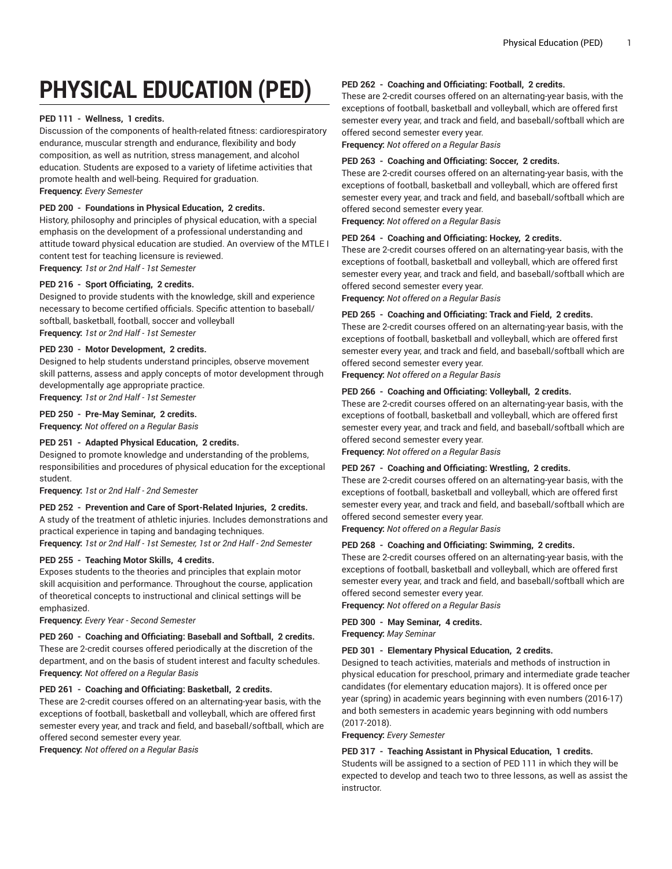# **PHYSICAL EDUCATION (PED)**

## **PED 111 - Wellness, 1 credits.**

Discussion of the components of health-related fitness: cardiorespiratory endurance, muscular strength and endurance, flexibility and body composition, as well as nutrition, stress management, and alcohol education. Students are exposed to a variety of lifetime activities that promote health and well-being. Required for graduation. **Frequency:** *Every Semester*

## **PED 200 - Foundations in Physical Education, 2 credits.**

History, philosophy and principles of physical education, with a special emphasis on the development of a professional understanding and attitude toward physical education are studied. An overview of the MTLE I content test for teaching licensure is reviewed. **Frequency:** *1st or 2nd Half - 1st Semester*

## **PED 216 - Sport Officiating, 2 credits.**

Designed to provide students with the knowledge, skill and experience necessary to become certified officials. Specific attention to baseball/ softball, basketball, football, soccer and volleyball **Frequency:** *1st or 2nd Half - 1st Semester*

#### **PED 230 - Motor Development, 2 credits.**

Designed to help students understand principles, observe movement skill patterns, assess and apply concepts of motor development through developmentally age appropriate practice. **Frequency:** *1st or 2nd Half - 1st Semester*

## **PED 250 - Pre-May Seminar, 2 credits.**

**Frequency:** *Not offered on a Regular Basis*

## **PED 251 - Adapted Physical Education, 2 credits.**

Designed to promote knowledge and understanding of the problems, responsibilities and procedures of physical education for the exceptional student.

**Frequency:** *1st or 2nd Half - 2nd Semester*

## **PED 252 - Prevention and Care of Sport-Related Injuries, 2 credits.**

A study of the treatment of athletic injuries. Includes demonstrations and practical experience in taping and bandaging techniques.

**Frequency:** *1st or 2nd Half - 1st Semester, 1st or 2nd Half - 2nd Semester*

## **PED 255 - Teaching Motor Skills, 4 credits.**

Exposes students to the theories and principles that explain motor skill acquisition and performance. Throughout the course, application of theoretical concepts to instructional and clinical settings will be emphasized.

**Frequency:** *Every Year - Second Semester*

**PED 260 - Coaching and Officiating: Baseball and Softball, 2 credits.** These are 2-credit courses offered periodically at the discretion of the department, and on the basis of student interest and faculty schedules. **Frequency:** *Not offered on a Regular Basis*

## **PED 261 - Coaching and Officiating: Basketball, 2 credits.**

These are 2-credit courses offered on an alternating-year basis, with the exceptions of football, basketball and volleyball, which are offered first semester every year, and track and field, and baseball/softball, which are offered second semester every year.

**Frequency:** *Not offered on a Regular Basis*

#### **PED 262 - Coaching and Officiating: Football, 2 credits.**

These are 2-credit courses offered on an alternating-year basis, with the exceptions of football, basketball and volleyball, which are offered first semester every year, and track and field, and baseball/softball which are offered second semester every year.

**Frequency:** *Not offered on a Regular Basis*

#### **PED 263 - Coaching and Officiating: Soccer, 2 credits.**

These are 2-credit courses offered on an alternating-year basis, with the exceptions of football, basketball and volleyball, which are offered first semester every year, and track and field, and baseball/softball which are offered second semester every year.

**Frequency:** *Not offered on a Regular Basis*

## **PED 264 - Coaching and Officiating: Hockey, 2 credits.**

These are 2-credit courses offered on an alternating-year basis, with the exceptions of football, basketball and volleyball, which are offered first semester every year, and track and field, and baseball/softball which are offered second semester every year.

**Frequency:** *Not offered on a Regular Basis*

## **PED 265 - Coaching and Officiating: Track and Field, 2 credits.**

These are 2-credit courses offered on an alternating-year basis, with the exceptions of football, basketball and volleyball, which are offered first semester every year, and track and field, and baseball/softball which are offered second semester every year.

**Frequency:** *Not offered on a Regular Basis*

## **PED 266 - Coaching and Officiating: Volleyball, 2 credits.**

These are 2-credit courses offered on an alternating-year basis, with the exceptions of football, basketball and volleyball, which are offered first semester every year, and track and field, and baseball/softball which are offered second semester every year.

**Frequency:** *Not offered on a Regular Basis*

#### **PED 267 - Coaching and Officiating: Wrestling, 2 credits.**

These are 2-credit courses offered on an alternating-year basis, with the exceptions of football, basketball and volleyball, which are offered first semester every year, and track and field, and baseball/softball which are offered second semester every year.

**Frequency:** *Not offered on a Regular Basis*

## **PED 268 - Coaching and Officiating: Swimming, 2 credits.**

These are 2-credit courses offered on an alternating-year basis, with the exceptions of football, basketball and volleyball, which are offered first semester every year, and track and field, and baseball/softball which are offered second semester every year.

**Frequency:** *Not offered on a Regular Basis*

#### **PED 300 - May Seminar, 4 credits.**

**Frequency:** *May Seminar*

## **PED 301 - Elementary Physical Education, 2 credits.**

Designed to teach activities, materials and methods of instruction in physical education for preschool, primary and intermediate grade teacher candidates (for elementary education majors). It is offered once per year (spring) in academic years beginning with even numbers (2016-17) and both semesters in academic years beginning with odd numbers (2017-2018).

**Frequency:** *Every Semester*

#### **PED 317 - Teaching Assistant in Physical Education, 1 credits.**

Students will be assigned to a section of PED 111 in which they will be expected to develop and teach two to three lessons, as well as assist the instructor.